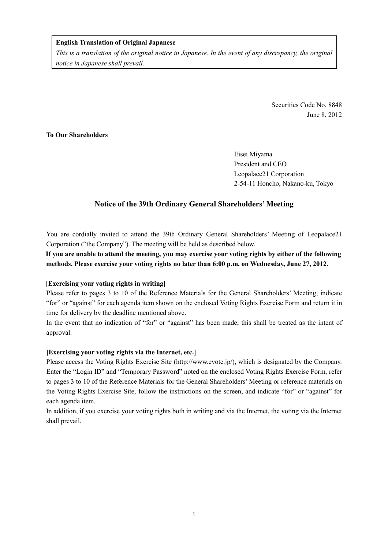### **English Translation of Original Japanese**

*This is a translation of the original notice in Japanese. In the event of any discrepancy, the original notice in Japanese shall prevail.* 

> Securities Code No. 8848 June 8, 2012

# **To Our Shareholders**

Eisei Miyama President and CEO Leopalace21 Corporation 2-54-11 Honcho, Nakano-ku, Tokyo

## **Notice of the 39th Ordinary General Shareholders' Meeting**

You are cordially invited to attend the 39th Ordinary General Shareholders' Meeting of Leopalace21 Corporation ("the Company"). The meeting will be held as described below.

**If you are unable to attend the meeting, you may exercise your voting rights by either of the following methods. Please exercise your voting rights no later than 6:00 p.m. on Wednesday, June 27, 2012.** 

### **[Exercising your voting rights in writing]**

Please refer to pages 3 to 10 of the Reference Materials for the General Shareholders' Meeting, indicate "for" or "against" for each agenda item shown on the enclosed Voting Rights Exercise Form and return it in time for delivery by the deadline mentioned above.

In the event that no indication of "for" or "against" has been made, this shall be treated as the intent of approval.

### **[Exercising your voting rights via the Internet, etc.]**

Please access the Voting Rights Exercise Site (http://www.evote.jp/), which is designated by the Company. Enter the "Login ID" and "Temporary Password" noted on the enclosed Voting Rights Exercise Form, refer to pages 3 to 10 of the Reference Materials for the General Shareholders' Meeting or reference materials on the Voting Rights Exercise Site, follow the instructions on the screen, and indicate "for" or "against" for each agenda item.

In addition, if you exercise your voting rights both in writing and via the Internet, the voting via the Internet shall prevail.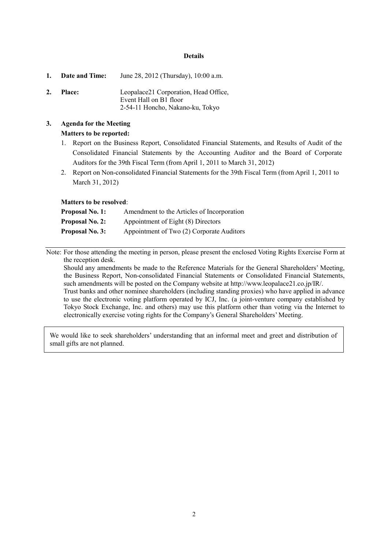#### **Details**

|    | 1. Date and Time: | June 28, 2012 (Thursday), 10:00 a.m.                                                                |
|----|-------------------|-----------------------------------------------------------------------------------------------------|
| 2. | <b>Place:</b>     | Leopalace21 Corporation, Head Office,<br>Event Hall on B1 floor<br>2-54-11 Honcho, Nakano-ku, Tokyo |

# **3. Agenda for the Meeting Matters to be reported:**

- 1. Report on the Business Report, Consolidated Financial Statements, and Results of Audit of the Consolidated Financial Statements by the Accounting Auditor and the Board of Corporate Auditors for the 39th Fiscal Term (from April 1, 2011 to March 31, 2012)
- 2. Report on Non-consolidated Financial Statements for the 39th Fiscal Term (from April 1, 2011 to March 31, 2012)

#### **Matters to be resolved**:

| <b>Proposal No. 1:</b> | Amendment to the Articles of Incorporation |
|------------------------|--------------------------------------------|
| <b>Proposal No. 2:</b> | Appointment of Eight (8) Directors         |
| <b>Proposal No. 3:</b> | Appointment of Two (2) Corporate Auditors  |

Note: For those attending the meeting in person, please present the enclosed Voting Rights Exercise Form at the reception desk.

Should any amendments be made to the Reference Materials for the General Shareholders' Meeting, the Business Report, Non-consolidated Financial Statements or Consolidated Financial Statements, such amendments will be posted on the Company website at http://www.leopalace21.co.jp/IR/. Trust banks and other nominee shareholders (including standing proxies) who have applied in advance to use the electronic voting platform operated by ICJ, Inc. (a joint-venture company established by Tokyo Stock Exchange, Inc. and others) may use this platform other than voting via the Internet to electronically exercise voting rights for the Company's General Shareholders' Meeting.

We would like to seek shareholders' understanding that an informal meet and greet and distribution of small gifts are not planned.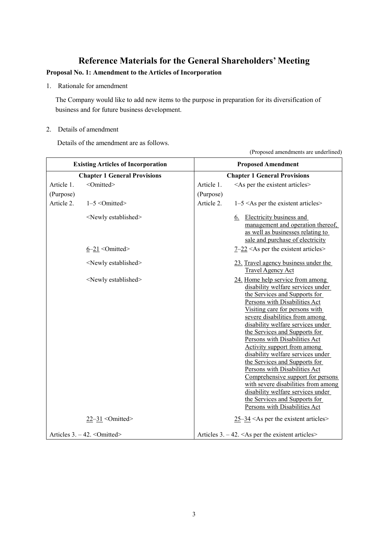# **Reference Materials for the General Shareholders' Meeting**

# **Proposal No. 1: Amendment to the Articles of Incorporation**

1. Rationale for amendment

The Company would like to add new items to the purpose in preparation for its diversification of business and for future business development.

## 2. Details of amendment

Details of the amendment are as follows.

|            | $(1.10)$ posed amendments are undermited  |                           |                                                                                                                                                                                                                                                                                                                                                                                                                                                                                                                                                                                                                                                    |  |  |
|------------|-------------------------------------------|---------------------------|----------------------------------------------------------------------------------------------------------------------------------------------------------------------------------------------------------------------------------------------------------------------------------------------------------------------------------------------------------------------------------------------------------------------------------------------------------------------------------------------------------------------------------------------------------------------------------------------------------------------------------------------------|--|--|
|            | <b>Existing Articles of Incorporation</b> | <b>Proposed Amendment</b> |                                                                                                                                                                                                                                                                                                                                                                                                                                                                                                                                                                                                                                                    |  |  |
|            | <b>Chapter 1 General Provisions</b>       |                           | <b>Chapter 1 General Provisions</b>                                                                                                                                                                                                                                                                                                                                                                                                                                                                                                                                                                                                                |  |  |
| Article 1. | <omitted></omitted>                       | Article 1.                | <as articles="" existent="" per="" the=""></as>                                                                                                                                                                                                                                                                                                                                                                                                                                                                                                                                                                                                    |  |  |
| (Purpose)  |                                           | (Purpose)                 |                                                                                                                                                                                                                                                                                                                                                                                                                                                                                                                                                                                                                                                    |  |  |
| Article 2. | $1-5$ < Omitted >                         | Article 2.                | $1-5 <$ As per the existent articles>                                                                                                                                                                                                                                                                                                                                                                                                                                                                                                                                                                                                              |  |  |
|            | <newly established=""></newly>            |                           | <b>Electricity business and</b><br><u>6.</u><br>management and operation thereof,<br>as well as businesses relating to<br>sale and purchase of electricity                                                                                                                                                                                                                                                                                                                                                                                                                                                                                         |  |  |
|            | $6-21$ < Omitted>                         |                           | $7-22$ <as articles="" existent="" per="" the=""></as>                                                                                                                                                                                                                                                                                                                                                                                                                                                                                                                                                                                             |  |  |
|            | <newly established=""></newly>            |                           | 23. Travel agency business under the<br><b>Travel Agency Act</b>                                                                                                                                                                                                                                                                                                                                                                                                                                                                                                                                                                                   |  |  |
|            | <newly established=""></newly>            |                           | 24. Home help service from among<br>disability welfare services under<br>the Services and Supports for<br>Persons with Disabilities Act<br>Visiting care for persons with<br>severe disabilities from among<br>disability welfare services under<br>the Services and Supports for<br>Persons with Disabilities Act<br><b>Activity support from among</b><br>disability welfare services under<br>the Services and Supports for<br>Persons with Disabilities Act<br>Comprehensive support for persons<br>with severe disabilities from among<br>disability welfare services under<br>the Services and Supports for<br>Persons with Disabilities Act |  |  |
|            | $22 - 31$ < Omitted>                      |                           | $25-34$ <as articles="" existent="" per="" the=""></as>                                                                                                                                                                                                                                                                                                                                                                                                                                                                                                                                                                                            |  |  |
|            | Articles 3. - 42. < Omitted>              |                           | Articles $3. -42. < As$ per the existent articles                                                                                                                                                                                                                                                                                                                                                                                                                                                                                                                                                                                                  |  |  |

(Proposed amendments are underlined)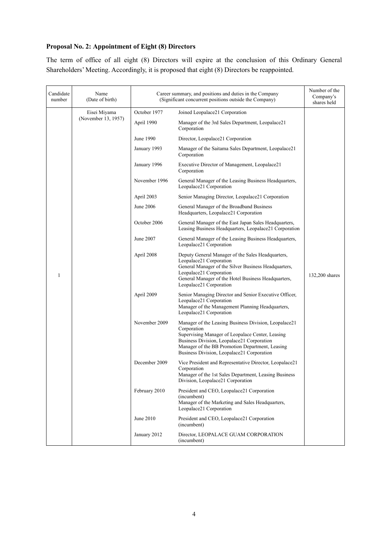# **Proposal No. 2: Appointment of Eight (8) Directors**

The term of office of all eight (8) Directors will expire at the conclusion of this Ordinary General Shareholders' Meeting. Accordingly, it is proposed that eight (8) Directors be reappointed.

| Candidate<br>number | Name<br>(Date of birth) |               | Career summary, and positions and duties in the Company<br>(Significant concurrent positions outside the Company)                                                                                                                                                       |                |
|---------------------|-------------------------|---------------|-------------------------------------------------------------------------------------------------------------------------------------------------------------------------------------------------------------------------------------------------------------------------|----------------|
|                     | Eisei Miyama            | October 1977  | Joined Leopalace21 Corporation                                                                                                                                                                                                                                          |                |
|                     | (November 13, 1957)     | April 1990    | Manager of the 3rd Sales Department, Leopalace21<br>Corporation                                                                                                                                                                                                         |                |
|                     |                         | June 1990     | Director, Leopalace21 Corporation                                                                                                                                                                                                                                       |                |
|                     |                         | January 1993  | Manager of the Saitama Sales Department, Leopalace21<br>Corporation                                                                                                                                                                                                     |                |
|                     |                         | January 1996  | Executive Director of Management, Leopalace21<br>Corporation                                                                                                                                                                                                            |                |
|                     |                         | November 1996 | General Manager of the Leasing Business Headquarters,<br>Leopalace21 Corporation                                                                                                                                                                                        |                |
|                     |                         | April 2003    | Senior Managing Director, Leopalace21 Corporation                                                                                                                                                                                                                       |                |
|                     |                         | June 2006     | General Manager of the Broadband Business<br>Headquarters, Leopalace21 Corporation                                                                                                                                                                                      |                |
|                     |                         | October 2006  | General Manager of the East Japan Sales Headquarters,<br>Leasing Business Headquarters, Leopalace21 Corporation                                                                                                                                                         |                |
|                     |                         | June 2007     | General Manager of the Leasing Business Headquarters,<br>Leopalace21 Corporation                                                                                                                                                                                        |                |
| 1                   |                         | April 2008    | Deputy General Manager of the Sales Headquarters,<br>Leopalace21 Corporation<br>General Manager of the Silver Business Headquarters,<br>Leopalace21 Corporation<br>General Manager of the Hotel Business Headquarters,<br>Leopalace21 Corporation                       | 132,200 shares |
|                     |                         | April 2009    | Senior Managing Director and Senior Executive Officer,<br>Leopalace21 Corporation<br>Manager of the Management Planning Headquarters,<br>Leopalace21 Corporation                                                                                                        |                |
|                     |                         | November 2009 | Manager of the Leasing Business Division, Leopalace21<br>Corporation<br>Supervising Manager of Leopalace Center, Leasing<br>Business Division, Leopalace21 Corporation<br>Manager of the BB Promotion Department, Leasing<br>Business Division, Leopalace21 Corporation |                |
|                     |                         | December 2009 | Vice President and Representative Director, Leopalace21<br>Corporation<br>Manager of the 1st Sales Department, Leasing Business<br>Division, Leopalace21 Corporation                                                                                                    |                |
|                     |                         | February 2010 | President and CEO, Leopalace21 Corporation<br>(incumbent)<br>Manager of the Marketing and Sales Headquarters,<br>Leopalace21 Corporation                                                                                                                                |                |
|                     |                         | June 2010     | President and CEO, Leopalace21 Corporation<br>(incumbent)                                                                                                                                                                                                               |                |
|                     |                         | January 2012  | Director, LEOPALACE GUAM CORPORATION<br>(incumbent)                                                                                                                                                                                                                     |                |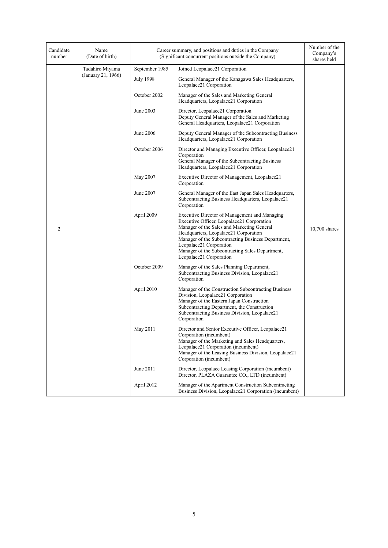| Candidate<br>number | Name<br>(Date of birth) |                | Career summary, and positions and duties in the Company<br>(Significant concurrent positions outside the Company)                                                                                                                                                                                                                                 | Number of the<br>Company's<br>shares held |
|---------------------|-------------------------|----------------|---------------------------------------------------------------------------------------------------------------------------------------------------------------------------------------------------------------------------------------------------------------------------------------------------------------------------------------------------|-------------------------------------------|
|                     | Tadahiro Miyama         | September 1985 | Joined Leopalace21 Corporation                                                                                                                                                                                                                                                                                                                    |                                           |
|                     | (January 21, 1966)      | July 1998      | General Manager of the Kanagawa Sales Headquarters,<br>Leopalace21 Corporation                                                                                                                                                                                                                                                                    |                                           |
|                     |                         | October 2002   | Manager of the Sales and Marketing General<br>Headquarters, Leopalace21 Corporation                                                                                                                                                                                                                                                               |                                           |
|                     |                         | June 2003      | Director, Leopalace21 Corporation<br>Deputy General Manager of the Sales and Marketing<br>General Headquarters, Leopalace21 Corporation                                                                                                                                                                                                           |                                           |
|                     |                         | June 2006      | Deputy General Manager of the Subcontracting Business<br>Headquarters, Leopalace21 Corporation                                                                                                                                                                                                                                                    |                                           |
|                     |                         | October 2006   | Director and Managing Executive Officer, Leopalace21<br>Corporation<br>General Manager of the Subcontracting Business<br>Headquarters, Leopalace21 Corporation                                                                                                                                                                                    |                                           |
|                     |                         | May 2007       | Executive Director of Management, Leopalace21<br>Corporation                                                                                                                                                                                                                                                                                      |                                           |
|                     |                         | June 2007      | General Manager of the East Japan Sales Headquarters,<br>Subcontracting Business Headquarters, Leopalace21<br>Corporation                                                                                                                                                                                                                         |                                           |
| $\overline{2}$      |                         | April 2009     | Executive Director of Management and Managing<br>Executive Officer, Leopalace21 Corporation<br>Manager of the Sales and Marketing General<br>Headquarters, Leopalace21 Corporation<br>Manager of the Subcontracting Business Department,<br>Leopalace21 Corporation<br>Manager of the Subcontracting Sales Department,<br>Leopalace21 Corporation | $10,700$ shares                           |
|                     |                         | October 2009   | Manager of the Sales Planning Department,<br>Subcontracting Business Division, Leopalace21<br>Corporation                                                                                                                                                                                                                                         |                                           |
|                     |                         | April 2010     | Manager of the Construction Subcontracting Business<br>Division, Leopalace21 Corporation<br>Manager of the Eastern Japan Construction<br>Subcontracting Department, the Construction<br>Subcontracting Business Division, Leopalace21<br>Corporation                                                                                              |                                           |
|                     |                         | May 2011       | Director and Senior Executive Officer, Leopalace21<br>Corporation (incumbent)<br>Manager of the Marketing and Sales Headquarters,<br>Leopalace21 Corporation (incumbent)<br>Manager of the Leasing Business Division, Leopalace21<br>Corporation (incumbent)                                                                                      |                                           |
|                     |                         | June 2011      | Director, Leopalace Leasing Corporation (incumbent)<br>Director, PLAZA Guarantee CO., LTD (incumbent)                                                                                                                                                                                                                                             |                                           |
|                     |                         | April 2012     | Manager of the Apartment Construction Subcontracting<br>Business Division, Leopalace21 Corporation (incumbent)                                                                                                                                                                                                                                    |                                           |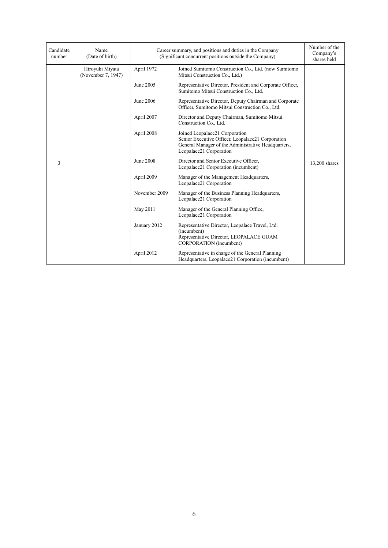| Candidate<br>number | Name<br>(Date of birth)               | Career summary, and positions and duties in the Company<br>(Significant concurrent positions outside the Company) |                                                                                                                                                                       | Number of the<br>Company's<br>shares held |
|---------------------|---------------------------------------|-------------------------------------------------------------------------------------------------------------------|-----------------------------------------------------------------------------------------------------------------------------------------------------------------------|-------------------------------------------|
|                     | Hiroyuki Miyata<br>(November 7, 1947) | April 1972                                                                                                        | Joined Sumitomo Construction Co., Ltd. (now Sumitomo<br>Mitsui Construction Co., Ltd.)                                                                                |                                           |
|                     |                                       | June 2005                                                                                                         | Representative Director, President and Corporate Officer,<br>Sumitomo Mitsui Construction Co., Ltd.                                                                   |                                           |
|                     |                                       | June 2006                                                                                                         | Representative Director, Deputy Chairman and Corporate<br>Officer, Sumitomo Mitsui Construction Co., Ltd.                                                             |                                           |
|                     |                                       | April 2007                                                                                                        | Director and Deputy Chairman, Sumitomo Mitsui<br>Construction Co., Ltd.                                                                                               |                                           |
|                     |                                       | April 2008                                                                                                        | Joined Leopalace21 Corporation<br>Senior Executive Officer, Leopalace21 Corporation<br>General Manager of the Administrative Headquarters,<br>Leopalace21 Corporation |                                           |
| 3                   |                                       | June 2008                                                                                                         | Director and Senior Executive Officer,<br>Leopalace21 Corporation (incumbent)                                                                                         | 13,200 shares                             |
|                     |                                       | April 2009                                                                                                        | Manager of the Management Headquarters,<br>Leopalace21 Corporation                                                                                                    |                                           |
|                     |                                       | November 2009                                                                                                     | Manager of the Business Planning Headquarters,<br>Leopalace21 Corporation                                                                                             |                                           |
|                     |                                       | May 2011                                                                                                          | Manager of the General Planning Office,<br>Leopalace21 Corporation                                                                                                    |                                           |
|                     |                                       | January 2012                                                                                                      | Representative Director, Leopalace Travel, Ltd.<br>(incumbent)<br>Representative Director, LEOPALACE GUAM<br><b>CORPORATION</b> (incumbent)                           |                                           |
|                     |                                       | April 2012                                                                                                        | Representative in charge of the General Planning<br>Headquarters, Leopalace21 Corporation (incumbent)                                                                 |                                           |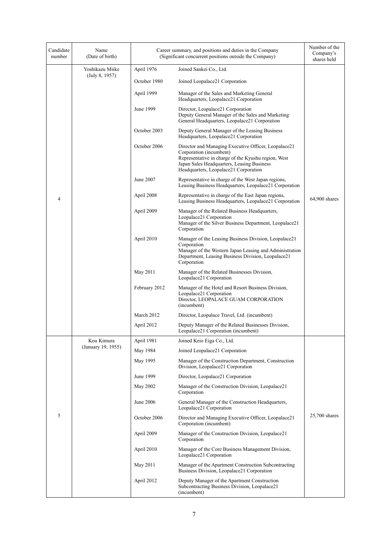| Candidate<br>number | Name<br>(Date of birth) |               | Career summary, and positions and duties in the Company<br>(Significant concurrent positions outside the Company)                                                                                                             | Number of the<br>Company's<br>shares held |
|---------------------|-------------------------|---------------|-------------------------------------------------------------------------------------------------------------------------------------------------------------------------------------------------------------------------------|-------------------------------------------|
|                     | Yoshikazu Miike         | April 1976    | Joined Sankei Co., Ltd.                                                                                                                                                                                                       |                                           |
|                     | (July 8, 1957)          | October 1980  | Joined Leopalace21 Corporation                                                                                                                                                                                                |                                           |
|                     |                         | April 1999    | Manager of the Sales and Marketing General<br>Headquarters, Leopalace21 Corporation                                                                                                                                           |                                           |
|                     |                         | June 1999     | Director, Leopalace21 Corporation<br>Deputy General Manager of the Sales and Marketing<br>General Headquarters, Leopalace21 Corporation                                                                                       |                                           |
|                     |                         | October 2003  | Deputy General Manager of the Leasing Business<br>Headquarters, Leopalace21 Corporation                                                                                                                                       |                                           |
|                     |                         | October 2006  | Director and Managing Executive Officer, Leopalace21<br>Corporation (incumbent)<br>Representative in charge of the Kyushu region, West<br>Japan Sales Headquarters, Leasing Business<br>Headquarters, Leopalace21 Corporation |                                           |
|                     |                         | June 2007     | Representative in charge of the West Japan regions,<br>Leasing Business Headquarters, Leopalace21 Corporation                                                                                                                 |                                           |
| 4                   |                         | April 2008    | Representative in charge of the East Japan regions,<br>Leasing Business Headquarters, Leopalace21 Corporation                                                                                                                 | 64,900 shares                             |
|                     |                         | April 2009    | Manager of the Related Business Headquarters,<br>Leopalace21 Corporation<br>Manager of the Silver Business Department, Leopalace21<br>Corporation                                                                             |                                           |
|                     |                         | April 2010    | Manager of the Leasing Business Division, Leopalace21<br>Corporation<br>Manager of the Western Japan Leasing and Administration<br>Department, Leasing Business Division, Leopalace21<br>Corporation                          |                                           |
|                     |                         | May 2011      | Manager of the Related Businesses Division,<br>Leopalace21 Corporation                                                                                                                                                        |                                           |
|                     |                         | February 2012 | Manager of the Hotel and Resort Business Division,<br>Leopalace21 Corporation<br>Director, LEOPALACE GUAM CORPORATION<br>(incumbent)                                                                                          |                                           |
|                     |                         | March 2012    | Director, Leopalace Travel, Ltd. (incumbent)                                                                                                                                                                                  |                                           |
|                     |                         | April 2012    | Deputy Manager of the Related Businesses Division,<br>Leopalace21 Corporation (incumbent)                                                                                                                                     |                                           |
|                     | Kou Kimura              | April 1981    | Joined Keio Eiga Co., Ltd.                                                                                                                                                                                                    |                                           |
|                     | (January 19, 1955)      | May 1984      | Joined Leopalace21 Corporation                                                                                                                                                                                                |                                           |
|                     |                         | May 1995      | Manager of the Construction Department, Construction<br>Division, Leopalace21 Corporation                                                                                                                                     |                                           |
|                     |                         | June 1999     | Director, Leopalace21 Corporation                                                                                                                                                                                             |                                           |
|                     |                         | May 2002      | Manager of the Construction Division, Leopalace21<br>Corporation                                                                                                                                                              |                                           |
| 5                   |                         | June 2006     | General Manager of the Construction Headquarters,<br>Leopalace21 Corporation                                                                                                                                                  |                                           |
|                     |                         | October 2006  | Director and Managing Executive Officer, Leopalace21<br>Corporation (incumbent)                                                                                                                                               | 25,700 shares                             |
|                     |                         | April 2009    | Manager of the Construction Division, Leopalace21<br>Corporation                                                                                                                                                              |                                           |
|                     |                         | April 2010    | Manager of the Core Business Management Division,<br>Leopalace21 Corporation                                                                                                                                                  |                                           |
|                     |                         | May 2011      | Manager of the Apartment Construction Subcontracting<br>Business Division, Leopalace21 Corporation                                                                                                                            |                                           |
|                     |                         | April 2012    | Deputy Manager of the Apartment Construction<br>Subcontracting Business Division, Leopalace21<br>(incumbent)                                                                                                                  |                                           |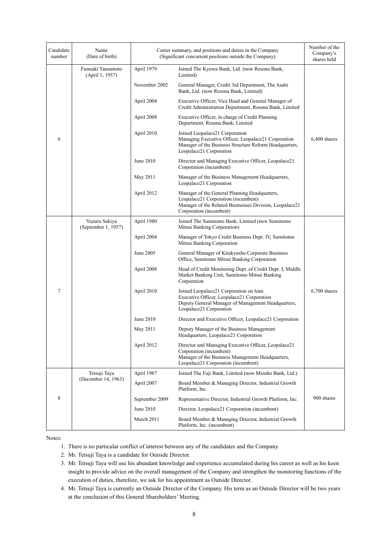| Candidate<br>number | Name<br>(Date of birth)              |                | Career summary, and positions and duties in the Company<br>(Significant concurrent positions outside the Company)                                                          | Number of the<br>Company's<br>shares held |
|---------------------|--------------------------------------|----------------|----------------------------------------------------------------------------------------------------------------------------------------------------------------------------|-------------------------------------------|
|                     | Fumiaki Yamamoto<br>(April 1, 1957)  | April 1979     | Joined The Kyowa Bank, Ltd. (now Resona Bank,<br>Limited)                                                                                                                  |                                           |
|                     |                                      | November 2002  | General Manager, Credit 3rd Department, The Asahi<br>Bank, Ltd. (now Resona Bank, Limited)                                                                                 |                                           |
|                     |                                      | April 2004     | Executive Officer, Vice Head and General Manager of<br>Credit Administration Department, Resona Bank, Limited                                                              |                                           |
|                     |                                      | April 2008     | Executive Officer, in charge of Credit Planning<br>Department, Resona Bank, Limited                                                                                        |                                           |
| 6                   |                                      | April 2010     | Joined Leopalace21 Corporation<br>Managing Executive Officer, Leopalace21 Corporation<br>Manager of the Business Structure Reform Headquarters,<br>Leopalace21 Corporation | 6,400 shares                              |
|                     |                                      | June 2010      | Director and Managing Executive Officer, Leopalace21<br>Corporation (incumbent)                                                                                            |                                           |
|                     |                                      | May 2011       | Manager of the Business Management Headquarters,<br>Leopalace21 Corporation                                                                                                |                                           |
|                     |                                      | April 2012     | Manager of the General Planning Headquarters,<br>Leopalace21 Corporation (incumbent)<br>Manager of the Related Businesses Division, Leopalace21<br>Corporation (incumbent) |                                           |
|                     | Yuzuru Sekiya<br>(September 1, 1957) | April 1980     | Joined The Sumitomo Bank, Limited (now Sumitomo<br>Mitsui Banking Corporation)                                                                                             |                                           |
|                     |                                      | April 2004     | Manager of Tokyo Credit Business Dept. IV, Sumitomo<br>Mitsui Banking Corporation                                                                                          |                                           |
|                     |                                      | June 2005      | General Manager of Kitakyushu Corporate Business<br>Office, Sumitomo Mitsui Banking Corporation                                                                            |                                           |
|                     |                                      | April 2008     | Head of Credit Monitoring Dept. of Credit Dept. I, Middle<br>Market Banking Unit, Sumitomo Mitsui Banking<br>Corporation                                                   |                                           |
| $\tau$              |                                      | April 2010     | Joined Leopalace21 Corporation on loan<br>Executive Officer, Leopalace21 Corporation<br>Deputy General Manager of Management Headquarters,<br>Leopalace21 Corporation      | $6,700$ shares                            |
|                     |                                      | June 2010      | Director and Executive Officer, Leopalace21 Corporation                                                                                                                    |                                           |
|                     |                                      | May 2011       | Deputy Manager of the Business Management<br>Headquarters, Leopalace21 Corporation                                                                                         |                                           |
|                     |                                      | April 2012     | Director and Managing Executive Officer, Leopalace21<br>Corporation (incumbent)<br>Manager of the Business Management Headquarters,<br>Leopalace21 Corporation (incumbent) |                                           |
|                     | Tetsuji Taya                         | April 1987     | Joined The Fuji Bank, Limited (now Mizuho Bank, Ltd.)                                                                                                                      |                                           |
|                     | (December 14, 1963)                  | April 2007     | Board Member & Managing Director, Industrial Growth<br>Platform, Inc.                                                                                                      |                                           |
| 8                   |                                      | September 2009 | Representative Director, Industrial Growth Platform, Inc.                                                                                                                  | 900 shares                                |
|                     |                                      | June 2010      | Director, Leopalace21 Corporation (incumbent)                                                                                                                              |                                           |
|                     |                                      | March 2011     | Board Member & Managing Director, Industrial Growth<br>Platform, Inc. (incumbent)                                                                                          |                                           |

Notes:

- 1. There is no particular conflict of interest between any of the candidates and the Company.
- 2. Mr. Tetsuji Taya is a candidate for Outside Director.
- 3. Mr. Tetsuji Taya will use his abundant knowledge and experience accumulated during his career as well as his keen insight to provide advice on the overall management of the Company and strengthen the monitoring functions of the execution of duties, therefore, we ask for his appointment as Outside Director.
- 4. Mr. Tetsuji Taya is currently an Outside Director of the Company. His term as an Outside Director will be two years at the conclusion of this General Shareholders' Meeting.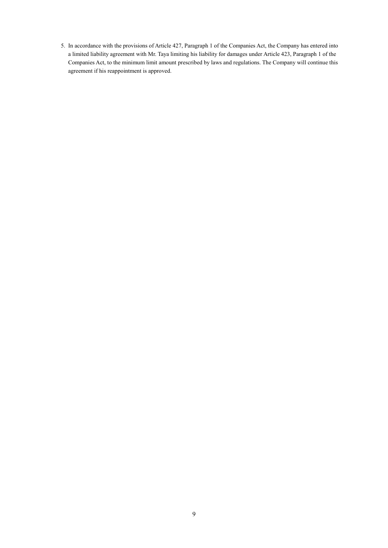5. In accordance with the provisions of Article 427, Paragraph 1 of the Companies Act, the Company has entered into a limited liability agreement with Mr. Taya limiting his liability for damages under Article 423, Paragraph 1 of the Companies Act, to the minimum limit amount prescribed by laws and regulations. The Company will continue this agreement if his reappointment is approved.